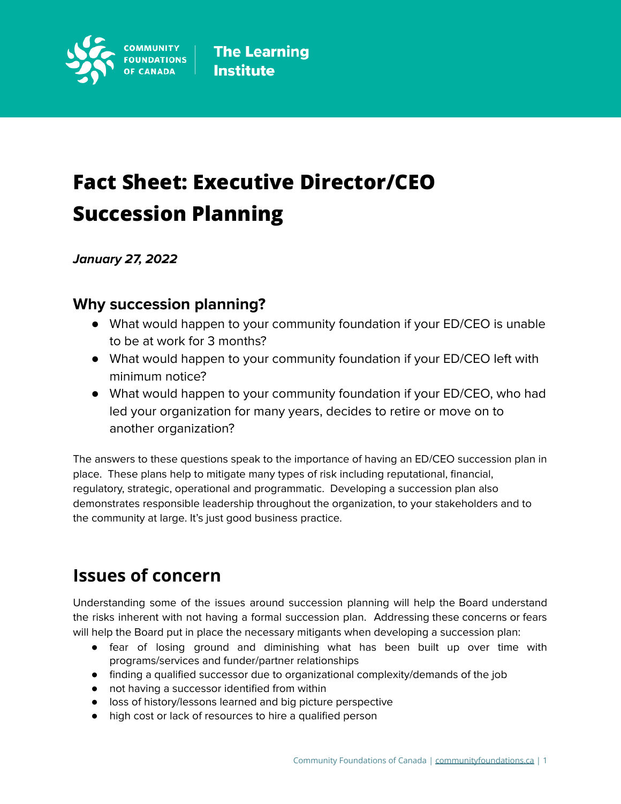

# **Fact Sheet: Executive Director/CEO Succession Planning**

**January 27, 2022**

### **Why succession planning?**

- What would happen to your community foundation if your ED/CEO is unable to be at work for 3 months?
- What would happen to your community foundation if your ED/CEO left with minimum notice?
- What would happen to your community foundation if your ED/CEO, who had led your organization for many years, decides to retire or move on to another organization?

The answers to these questions speak to the importance of having an ED/CEO succession plan in place. These plans help to mitigate many types of risk including reputational, financial, regulatory, strategic, operational and programmatic. Developing a succession plan also demonstrates responsible leadership throughout the organization, to your stakeholders and to the community at large. It's just good business practice.

## **Issues of concern**

Understanding some of the issues around succession planning will help the Board understand the risks inherent with not having a formal succession plan. Addressing these concerns or fears will help the Board put in place the necessary mitigants when developing a succession plan:

- fear of losing ground and diminishing what has been built up over time with programs/services and funder/partner relationships
- finding a qualified successor due to organizational complexity/demands of the job
- not having a successor identified from within
- loss of history/lessons learned and big picture perspective
- high cost or lack of resources to hire a qualified person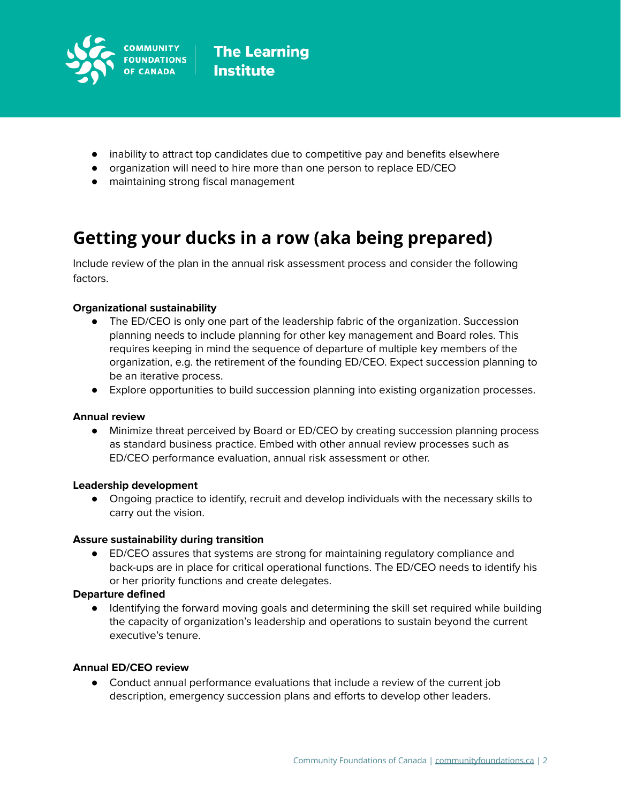

- inability to attract top candidates due to competitive pay and benefits elsewhere
- organization will need to hire more than one person to replace ED/CEO
- maintaining strong fiscal management

### **Getting your ducks in a row (aka being prepared)**

Include review of the plan in the annual risk assessment process and consider the following factors.

### **Organizational sustainability**

- The ED/CEO is only one part of the leadership fabric of the organization. Succession planning needs to include planning for other key management and Board roles. This requires keeping in mind the sequence of departure of multiple key members of the organization, e.g. the retirement of the founding ED/CEO. Expect succession planning to be an iterative process.
- Explore opportunities to build succession planning into existing organization processes.

### **Annual review**

**●** Minimize threat perceived by Board or ED/CEO by creating succession planning process as standard business practice. Embed with other annual review processes such as ED/CEO performance evaluation, annual risk assessment or other.

### **Leadership development**

● Ongoing practice to identify, recruit and develop individuals with the necessary skills to carry out the vision.

### **Assure sustainability during transition**

● ED/CEO assures that systems are strong for maintaining regulatory compliance and back-ups are in place for critical operational functions. The ED/CEO needs to identify his or her priority functions and create delegates.

### **Departure defined**

● Identifying the forward moving goals and determining the skill set required while building the capacity of organization's leadership and operations to sustain beyond the current executive's tenure.

### **Annual ED/CEO review**

● Conduct annual performance evaluations that include a review of the current job description, emergency succession plans and efforts to develop other leaders.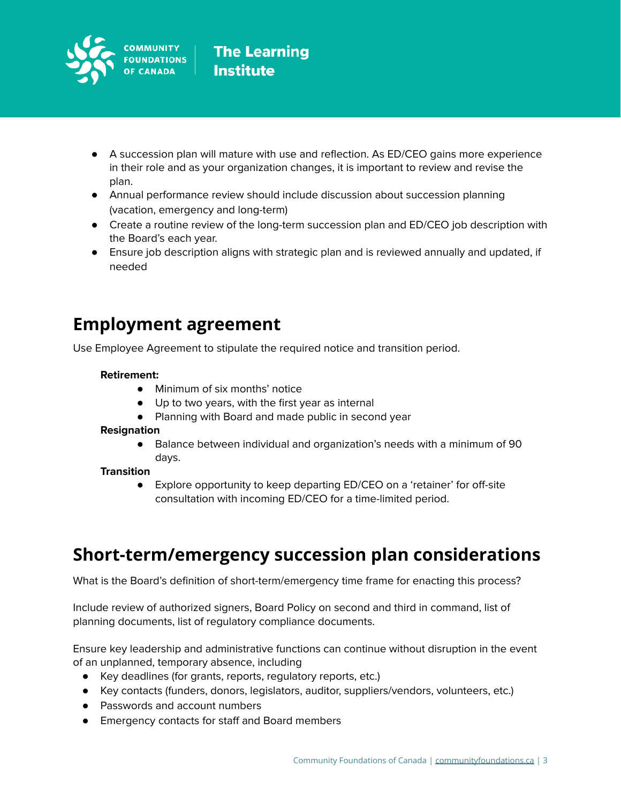

- A succession plan will mature with use and reflection. As ED/CEO gains more experience in their role and as your organization changes, it is important to review and revise the plan.
- Annual performance review should include discussion about succession planning (vacation, emergency and long-term)
- Create a routine review of the long-term succession plan and ED/CEO job description with the Board's each year.
- Ensure job description aligns with strategic plan and is reviewed annually and updated, if needed

### **Employment agreement**

Use Employee Agreement to stipulate the required notice and transition period.

### **Retirement:**

- **●** Minimum of six months' notice
- Up to two years, with the first year as internal
- Planning with Board and made public in second year

### **Resignation**

● Balance between individual and organization's needs with a minimum of 90 days.

### **Transition**

● Explore opportunity to keep departing ED/CEO on a 'retainer' for off-site consultation with incoming ED/CEO for a time-limited period.

### **Short-term/emergency succession plan considerations**

What is the Board's definition of short-term/emergency time frame for enacting this process?

Include review of authorized signers, Board Policy on second and third in command, list of planning documents, list of regulatory compliance documents.

Ensure key leadership and administrative functions can continue without disruption in the event of an unplanned, temporary absence, including

- Key deadlines (for grants, reports, regulatory reports, etc.)
- Key contacts (funders, donors, legislators, auditor, suppliers/vendors, volunteers, etc.)
- Passwords and account numbers
- Emergency contacts for staff and Board members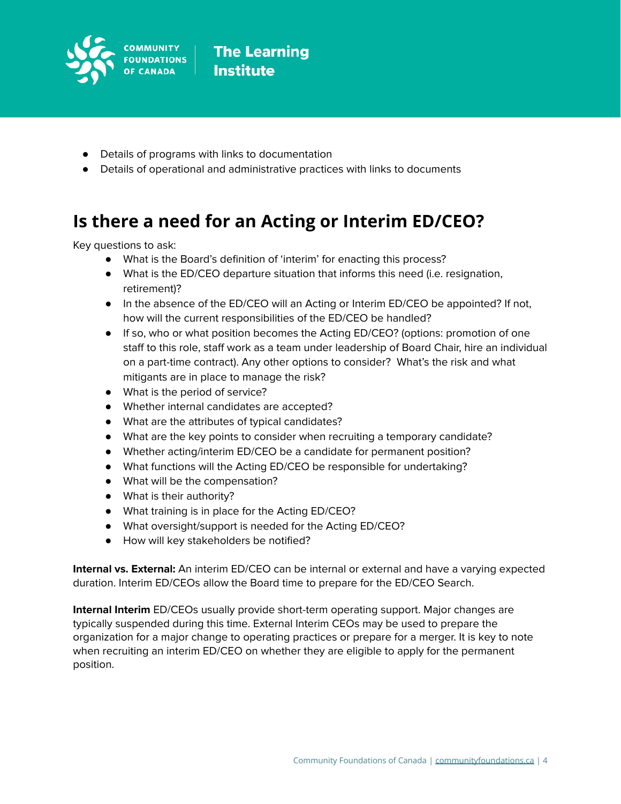

- Details of programs with links to documentation
- Details of operational and administrative practices with links to documents

## **Is there a need for an Acting or Interim ED/CEO?**

Key questions to ask:

- What is the Board's definition of 'interim' for enacting this process?
- What is the ED/CEO departure situation that informs this need (i.e. resignation, retirement)?
- In the absence of the ED/CEO will an Acting or Interim ED/CEO be appointed? If not, how will the current responsibilities of the ED/CEO be handled?
- If so, who or what position becomes the Acting ED/CEO? (options: promotion of one staff to this role, staff work as a team under leadership of Board Chair, hire an individual on a part-time contract). Any other options to consider? What's the risk and what mitigants are in place to manage the risk?
- What is the period of service?
- Whether internal candidates are accepted?
- What are the attributes of typical candidates?
- What are the key points to consider when recruiting a temporary candidate?
- Whether acting/interim ED/CEO be a candidate for permanent position?
- What functions will the Acting ED/CEO be responsible for undertaking?
- What will be the compensation?
- What is their authority?
- What training is in place for the Acting ED/CEO?
- What oversight/support is needed for the Acting ED/CEO?
- How will key stakeholders be notified?

**Internal vs. External:** An interim ED/CEO can be internal or external and have a varying expected duration. Interim ED/CEOs allow the Board time to prepare for the ED/CEO Search.

**Internal Interim** ED/CEOs usually provide short-term operating support. Major changes are typically suspended during this time. External Interim CEOs may be used to prepare the organization for a major change to operating practices or prepare for a merger. It is key to note when recruiting an interim ED/CEO on whether they are eligible to apply for the permanent position.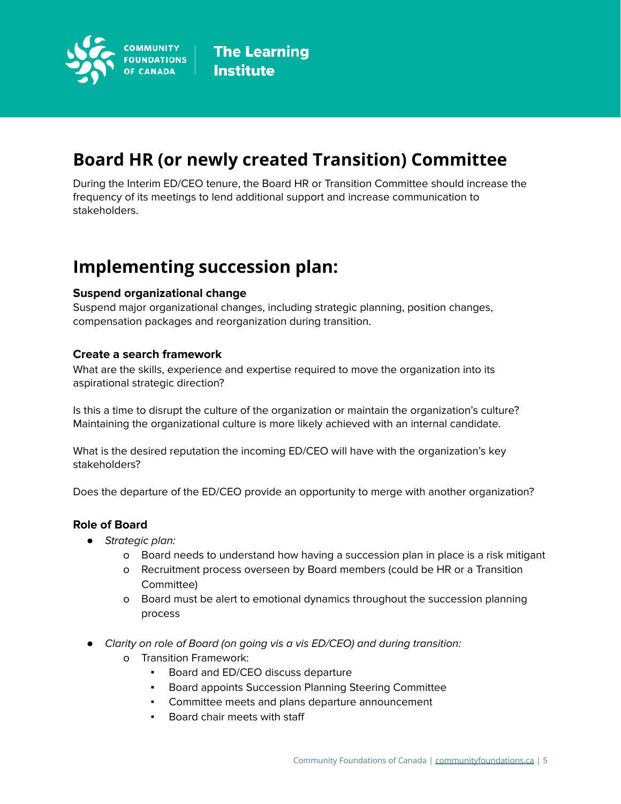

# **Board HR (or newly created Transition) Committee**

During the Interim ED/CEO tenure, the Board HR or Transition Committee should increase the frequency of its meetings to lend additional support and increase communication to stakeholders.

### **Implementing succession plan:**

### **Suspend organizational change**

Suspend major organizational changes, including strategic planning, position changes, compensation packages and reorganization during transition.

### **Create a search framework**

What are the skills, experience and expertise required to move the organization into its aspirational strategic direction?

Is this a time to disrupt the culture of the organization or maintain the organization's culture? Maintaining the organizational culture is more likely achieved with an internal candidate.

What is the desired reputation the incoming ED/CEO will have with the organization's key stakeholders?

Does the departure of the ED/CEO provide an opportunity to merge with another organization?

### **Role of Board**

- *●* Strategic plan:
	- o Board needs to understand how having a succession plan in place is a risk mitigant
	- o Recruitment process overseen by Board members (could be HR or a Transition Committee)
	- o Board must be alert to emotional dynamics throughout the succession planning process
- *●* Clarity on role of Board (on going vis a vis ED/CEO) and during transition:
	- o Transition Framework:
		- Board and ED/CEO discuss departure
		- Board appoints Succession Planning Steering Committee
		- Committee meets and plans departure announcement
		- Board chair meets with staff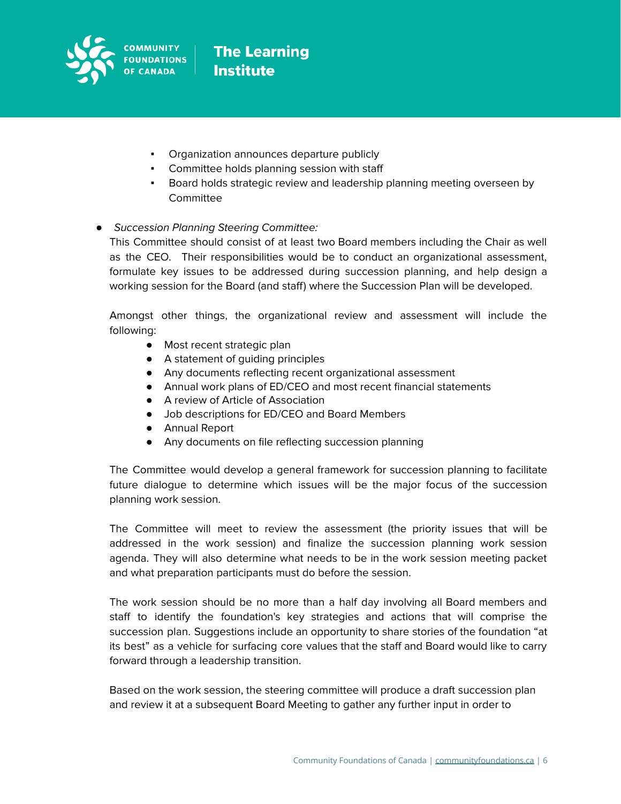

- Organization announces departure publicly
- Committee holds planning session with staff
- Board holds strategic review and leadership planning meeting overseen by **Committee**

### *●* Succession Planning Steering Committee:

This Committee should consist of at least two Board members including the Chair as well as the CEO. Their responsibilities would be to conduct an organizational assessment, formulate key issues to be addressed during succession planning, and help design a working session for the Board (and staff) where the Succession Plan will be developed.

Amongst other things, the organizational review and assessment will include the following:

- Most recent strategic plan
- A statement of guiding principles
- Any documents reflecting recent organizational assessment
- Annual work plans of ED/CEO and most recent financial statements
- A review of Article of Association
- Job descriptions for ED/CEO and Board Members
- Annual Report
- Any documents on file reflecting succession planning

The Committee would develop a general framework for succession planning to facilitate future dialogue to determine which issues will be the major focus of the succession planning work session.

The Committee will meet to review the assessment (the priority issues that will be addressed in the work session) and finalize the succession planning work session agenda. They will also determine what needs to be in the work session meeting packet and what preparation participants must do before the session.

The work session should be no more than a half day involving all Board members and staff to identify the foundation's key strategies and actions that will comprise the succession plan. Suggestions include an opportunity to share stories of the foundation "at its best" as a vehicle for surfacing core values that the staff and Board would like to carry forward through a leadership transition.

Based on the work session, the steering committee will produce a draft succession plan and review it at a subsequent Board Meeting to gather any further input in order to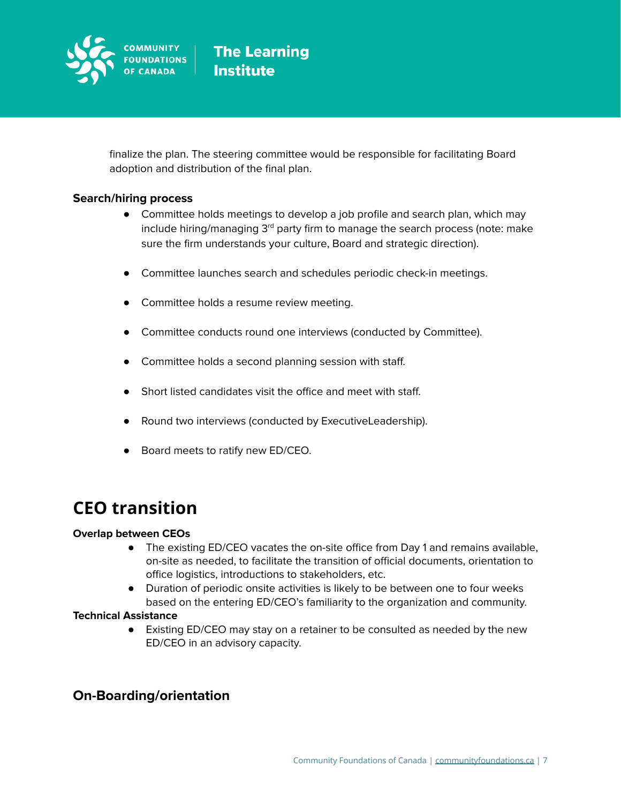

finalize the plan. The steering committee would be responsible for facilitating Board adoption and distribution of the final plan.

### **Search/hiring process**

- Committee holds meetings to develop a job profile and search plan, which may include hiring/managing 3<sup>rd</sup> party firm to manage the search process (note: make sure the firm understands your culture, Board and strategic direction).
- Committee launches search and schedules periodic check-in meetings.
- Committee holds a resume review meeting.
- Committee conducts round one interviews (conducted by Committee).
- Committee holds a second planning session with staff.
- Short listed candidates visit the office and meet with staff.
- Round two interviews (conducted by ExecutiveLeadership).
- Board meets to ratify new ED/CEO.

### **CEO transition**

### **Overlap between CEOs**

- The existing ED/CEO vacates the on-site office from Day 1 and remains available, on-site as needed, to facilitate the transition of official documents, orientation to office logistics, introductions to stakeholders, etc.
- Duration of periodic onsite activities is likely to be between one to four weeks based on the entering ED/CEO's familiarity to the organization and community.

### **Technical Assistance**

● Existing ED/CEO may stay on a retainer to be consulted as needed by the new ED/CEO in an advisory capacity.

### **On-Boarding/orientation**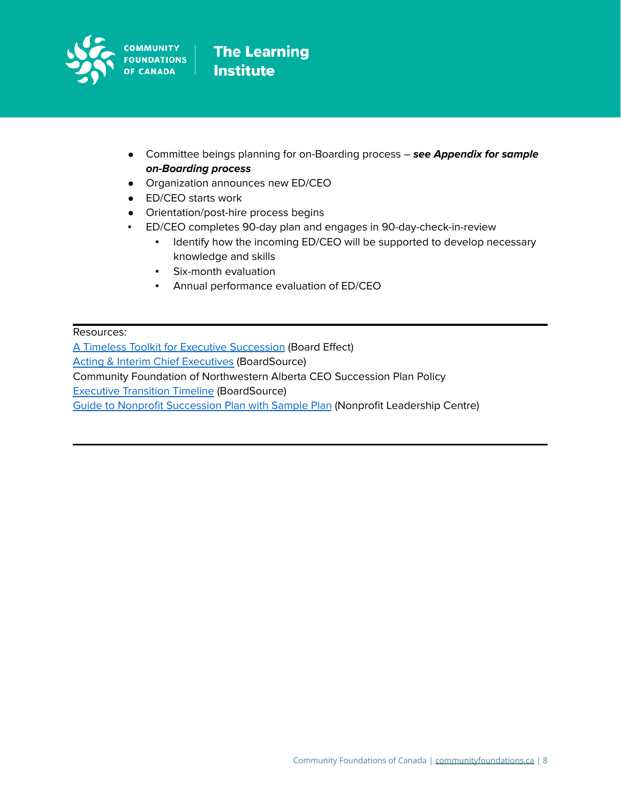

- Committee beings planning for on-Boarding process **see Appendix for sample on-Boarding process**
- Organization announces new ED/CEO
- ED/CEO starts work
- Orientation/post-hire process begins
- ED/CEO completes 90-day plan and engages in 90-day-check-in-review
	- **•** Identify how the incoming ED/CEO will be supported to develop necessary knowledge and skills
	- Six-month evaluation
	- Annual performance evaluation of ED/CEO

Resources:

A Timeless Toolkit for Executive [Succession](https://www.boardeffect.com/blog/timeless-toolkit-executive-succession/) (Board Effect) Acting & Interim Chief [Executives](https://boardsource.org/wp-content/uploads/2017/01/Acting-Interim-CEO.pdf?hsCtaTracking=f3bd9b06-78bc-493a-8854-b14521267ddb%7Cec45c3f6-a8d7-471f-aa30-563a5969ff1f) (BoardSource) Community Foundation of Northwestern Alberta CEO Succession Plan Policy Executive [Transition](https://boardsource.org/nonprofit-executive-transition-timeline/) Timeline (BoardSource) Guide to Nonprofit [Succession](https://nlctb.org/wp-content/uploads/Guide-to-Nonprofit-Succession-Plan-with-Sample-Plan_Amy-Haile_Dec2020.pdf) Plan with Sample Plan (Nonprofit Leadership Centre)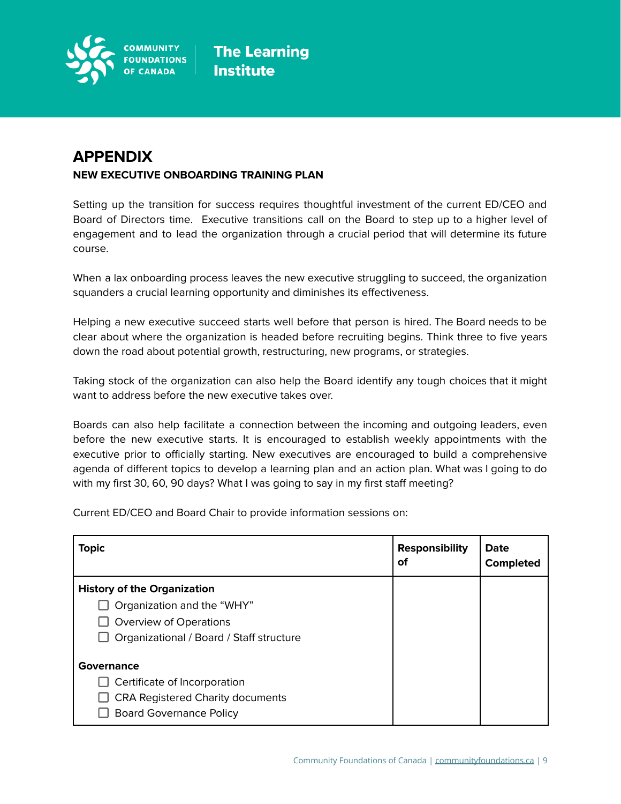

### **APPENDIX NEW EXECUTIVE ONBOARDING TRAINING PLAN**

Setting up the transition for success requires thoughtful investment of the current ED/CEO and Board of Directors time. Executive transitions call on the Board to step up to a higher level of engagement and to lead the organization through a crucial period that will determine its future course.

When a lax onboarding process leaves the new executive struggling to succeed, the organization squanders a crucial learning opportunity and diminishes its effectiveness.

Helping a new executive succeed starts well before that person is hired. The Board needs to be clear about where the organization is headed before recruiting begins. Think three to five years down the road about potential growth, restructuring, new programs, or strategies.

Taking stock of the organization can also help the Board identify any tough choices that it might want to address before the new executive takes over.

Boards can also help facilitate a connection between the incoming and outgoing leaders, even before the new executive starts. It is encouraged to establish weekly appointments with the executive prior to officially starting. New executives are encouraged to build a comprehensive agenda of different topics to develop a learning plan and an action plan. What was I going to do with my first 30, 60, 90 days? What I was going to say in my first staff meeting?

Current ED/CEO and Board Chair to provide information sessions on:

| <b>Topic</b>                                                                                                                                  | <b>Responsibility</b><br><b>of</b> | <b>Date</b><br><b>Completed</b> |
|-----------------------------------------------------------------------------------------------------------------------------------------------|------------------------------------|---------------------------------|
| <b>History of the Organization</b><br>Organization and the "WHY"<br>$\Box$ Overview of Operations<br>Organizational / Board / Staff structure |                                    |                                 |
| Governance<br>Certificate of Incorporation<br><b>CRA Registered Charity documents</b><br><b>Board Governance Policy</b>                       |                                    |                                 |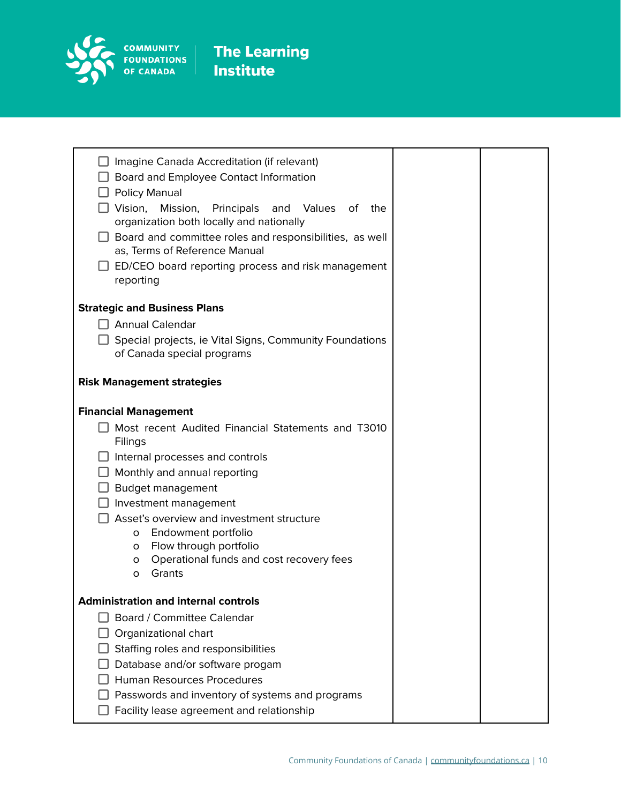

| $\Box$ Imagine Canada Accreditation (if relevant)<br>□ Board and Employee Contact Information<br>$\Box$ Policy Manual<br>$\square$ Vision,<br>Mission,<br>Principals<br>and<br>Values<br>of the<br>organization both locally and nationally<br>$\Box$ Board and committee roles and responsibilities, as well<br>as, Terms of Reference Manual<br>ED/CEO board reporting process and risk management<br>reporting |  |
|-------------------------------------------------------------------------------------------------------------------------------------------------------------------------------------------------------------------------------------------------------------------------------------------------------------------------------------------------------------------------------------------------------------------|--|
| <b>Strategic and Business Plans</b>                                                                                                                                                                                                                                                                                                                                                                               |  |
| $\Box$ Annual Calendar                                                                                                                                                                                                                                                                                                                                                                                            |  |
| $\Box$ Special projects, ie Vital Signs, Community Foundations<br>of Canada special programs                                                                                                                                                                                                                                                                                                                      |  |
| <b>Risk Management strategies</b>                                                                                                                                                                                                                                                                                                                                                                                 |  |
| <b>Financial Management</b>                                                                                                                                                                                                                                                                                                                                                                                       |  |
| Most recent Audited Financial Statements and T3010<br>Filings<br>Internal processes and controls                                                                                                                                                                                                                                                                                                                  |  |
| $\Box$ Monthly and annual reporting                                                                                                                                                                                                                                                                                                                                                                               |  |
| $\Box$ Budget management                                                                                                                                                                                                                                                                                                                                                                                          |  |
| $\Box$ Investment management                                                                                                                                                                                                                                                                                                                                                                                      |  |
| Asset's overview and investment structure                                                                                                                                                                                                                                                                                                                                                                         |  |
| Endowment portfolio<br>O<br>Flow through portfolio<br>$\circ$                                                                                                                                                                                                                                                                                                                                                     |  |
| Operational funds and cost recovery fees<br>O                                                                                                                                                                                                                                                                                                                                                                     |  |
| Grants<br>O                                                                                                                                                                                                                                                                                                                                                                                                       |  |
| <b>Administration and internal controls</b>                                                                                                                                                                                                                                                                                                                                                                       |  |
| Board / Committee Calendar                                                                                                                                                                                                                                                                                                                                                                                        |  |
| Organizational chart                                                                                                                                                                                                                                                                                                                                                                                              |  |
| Staffing roles and responsibilities                                                                                                                                                                                                                                                                                                                                                                               |  |
| Database and/or software progam                                                                                                                                                                                                                                                                                                                                                                                   |  |
| <b>Human Resources Procedures</b>                                                                                                                                                                                                                                                                                                                                                                                 |  |
| Passwords and inventory of systems and programs                                                                                                                                                                                                                                                                                                                                                                   |  |
| Facility lease agreement and relationship                                                                                                                                                                                                                                                                                                                                                                         |  |